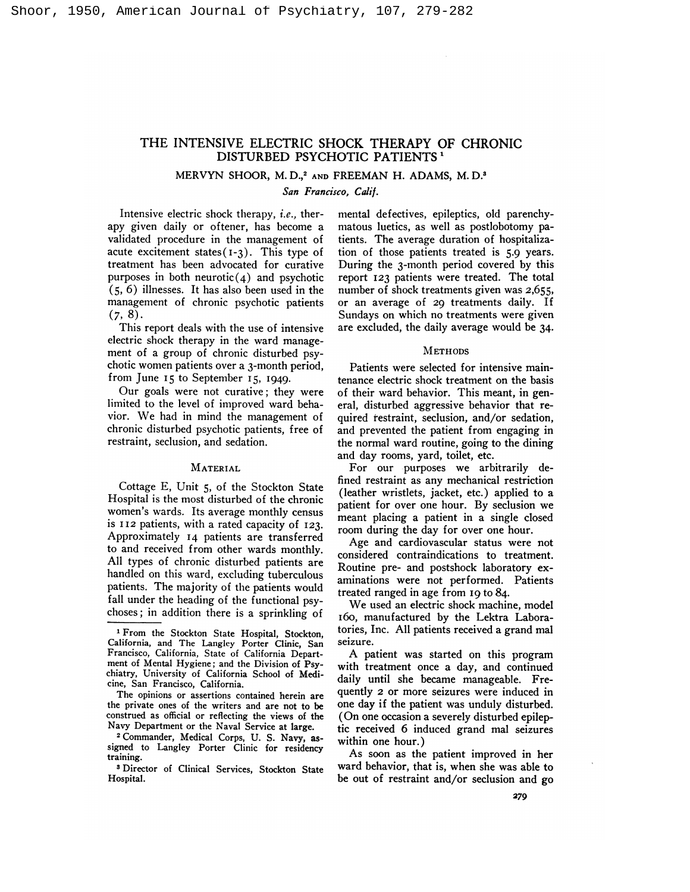# THE INTENSIVE ELECTRIC SHOCK THERAPY OF CHRONIC DISTURBED PSYCHOTIC PATIENTS<sup>1</sup>

## MERVYN SHOOR, M.D.,<sup>2</sup> AND FREEMAN H. ADAMS, M.D.<sup>3</sup>

*San Francisco, Calif.*

Intensive electric shock therapy, *i.e.,* therapy given daily or oftener, has become a validated procedure in the management of acute excitement states( **1-3).** This type of treatment has been advocated for curative purposes in both neurotic $(4)$  and psychotic (5, 6) illnesses. It has also been used in the management of chronic psychotic patients  $(7, 8).$ 

This report deals with the use of intensive electric shock therapy in the ward management of a group of chronic disturbed psychotic women patients over a 3-month period, from June **<sup>15</sup>** to September **15, 1949.**

Our goals were not curative; they were limited to the level of improved ward behavior. We had in mind the management of chronic disturbed psychotic patients, free of restraint, seclusion, and sedation.

## **MATERIAL**

Cottage E, Unit 5, of the Stockton State Hospital is the most disturbed of the chronic women's wards. Its average monthly census is **<sup>112</sup>** patients, with a rated capacity of **123.** Approximately **<sup>14</sup>** patients are transferred to and received from other wards monthly. All types of chronic disturbed patients are handled on this ward, excluding tuberculous patients. The majority of the patients would fall under the heading of the functional psychoses; in addition there is a sprinkling of mental defectives, epileptics, old parenchymatous luetics, as well as postlobotomy patients. The average duration of hospitalization of those patients treated is 5.9 years. During the 3-month period covered by this report **<sup>123</sup>** patients were treated. The total number of shock treatments given was 2,655, or an average of *<sup>29</sup>* treatments daily. If Sundays on which no treatments were given are excluded, the daily average would be 34.

#### **METHODS**

Patients were selected for intensive maintenance electric shock treatment on the basis of their ward behavior. This meant, in general, disturbed aggressive behavior that re quired restraint, seclusion, and/or sedation, and prevented the patient from engaging in the normal ward routine, going to the dining and day rooms, yard, toilet, etc.

For our purposes we arbitrarily defined restraint as any mechanical restriction (leather wristlets, jacket, etc.) applied to a patient for over one hour. By seclusion we meant placing a patient in a single closed room during the day for over one hour.

Age and cardiovascular status were not considered contraindications to treatment. Routine pre- and postshock laboratory ex aminations were not performed. Patients treated ranged in age from **<sup>19</sup>** to 84.

We used an electric shock machine, model 160, manufactured by the Lektra Laboratories, Inc. All patients received a grand mal seizure.

A patient was started on this program with treatment once a day, and continued daily until she became manageable. Frequently *2* or more seizures were induced in one day if the patient was unduly disturbed. (On one occasion a severely disturbed epileptic received 6 induced grand mal seizures within one hour.)

As soon as the patient improved in her ward behavior, that is, when she was able to be out of restraint and/or seclusion and go

**<sup>1</sup>** From the Stockton State Hospital, Stockton, California, and The Langley Porter Clinic, San Francisco, California, State of California Depart ment of Mental Hygiene; and the Division of Psychiatry, University of California School of Medicine, San Francisco, California.

The opinions or assertions contained herein are the private ones of the writers and are not to be construed as official or reflecting the views of the Navy Department or the Naval Service at large.

**<sup>2</sup>** Commander, Medical Corps, U. S. Navy, as signed to Langley Porter Clinic for residency training.

**<sup>3</sup>** Director of Clinical Services, Stockton State Hospital.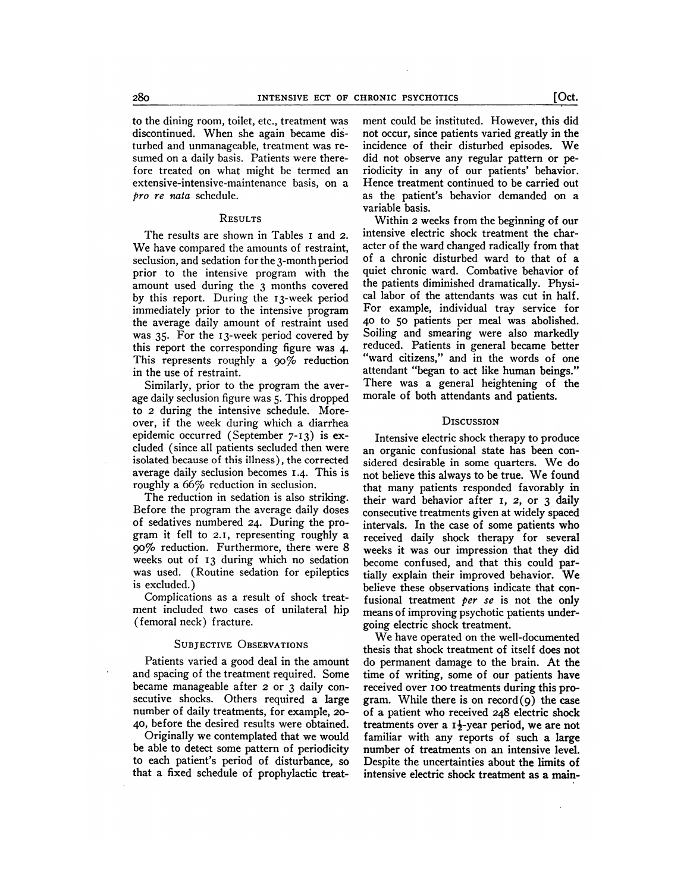to the dining room, toilet, etc., treatment was discontinued. When she again became disturbed and unmanageable, treatment was re sumed on a daily basis. Patients were therefore treated on what might be termed an extensive-intensive-maintenance basis, on a *pro re nata* schedule.

## **RESULTS**

The results are shown in Tables **<sup>I</sup>** and *2.* We have compared the amounts of restraint, seclusion, and sedation for the 3-month period prior to the intensive program with the amount used during the 3 months covered by this report. During the 13-week period immediately prior to the intensive program the average daily amount of restraint used was 35. For the 13-week period covered by this report the corresponding figure was 4. This represents roughly a 90% reduction in the use of restraint.

Similarly, prior to the program the aver age daily seclusion figure was 5. This dropped to *<sup>2</sup>* during the intensive schedule. Moreover, if the week during which a diarrhea epidemic occurred (September **7-13)** is ex cluded (since all patients secluded then were isolated because of this illness), the corrected average daily seclusion becomes **1.4.** This is roughly a 66% reduction in seclusion.

The reduction in sedation is also striking. Before the program the average daily doses of sedatives numbered **24.** During the program it fell to **2.1,** representing roughly a **90%** reduction. Furthermore, there were 8 weeks out of **<sup>13</sup>** during which no sedation was used. (Routine sedation for epileptics is excluded.)

Complications as a result of shock treat ment included two cases of unilateral hip (femoral neck) fracture.

## **SUBJECTIVE OBSERVATIONS**

Patients varied a good deal in the amount and spacing of the treatment required. Some became manageable after *2* or 3 daily con secutive shocks. Others required a large number of daily treatments, for example, 20- **40,** before the desired results were obtained.

Originally we contemplated that we would be able to detect some pattern of periodicity to each patient's period of disturbance, so that a fixed schedule of prophylactic treatment could be instituted. However, this did not occur, since patients varied greatly in the incidence of their disturbed episodes. We did not observe any regular pattern or periodicity in any of our patients' behavior. Hence treatment continued to be carried out as the patient's behavior demanded on a variable basis.

Within *2* weeks from the beginning of our intensive electric shock treatment the character of the ward changed radically from that of a chronic disturbed ward to that of a quiet chronic ward. Combative behavior of the patients diminished dramatically. Physical labor of the attendants was cut in half. For example, individual tray service for **<sup>40</sup>** to **<sup>50</sup>** patients per meal was abolished. Soiling and smearing were also markedly reduced. Patients in general became better "ward citizens," and in the words of one attendant "began to act like human beings." There was a general heightening of the morale of both attendants and patients.

#### **DISCUSSION**

Intensive electric shock therapy to produce an organic confusional state has been con sidered desirable in some quarters. We do not believe this always to be true. We found that many patients responded favorably in their ward behavior after **I,** *2,* or 3 daily consecutive treatments given at widely spaced intervals. In the case of some patients who received daily shock therapy for several weeks it was our impression that they did become confused, and that this could partially explain their improved behavior. We believe these observations indicate that confusional treatment *per se* is not the only means of improving psychotic patients undergoing electric shock treatment.

We have operated on the well-documented thesis that shock treatment of itself does not do permanent damage to the brain. At the time of writing, some of our patients have received over Ioo treatments during this program. While there is on  $record(9)$  the case of a patient who received 248 electric shock treatments over a  $1\frac{1}{2}$ -year period, we are not familiar with any reports of such a large number of treatments on an intensive level. Despite the uncertainties about the limits of intensive electric shock treatment as a main-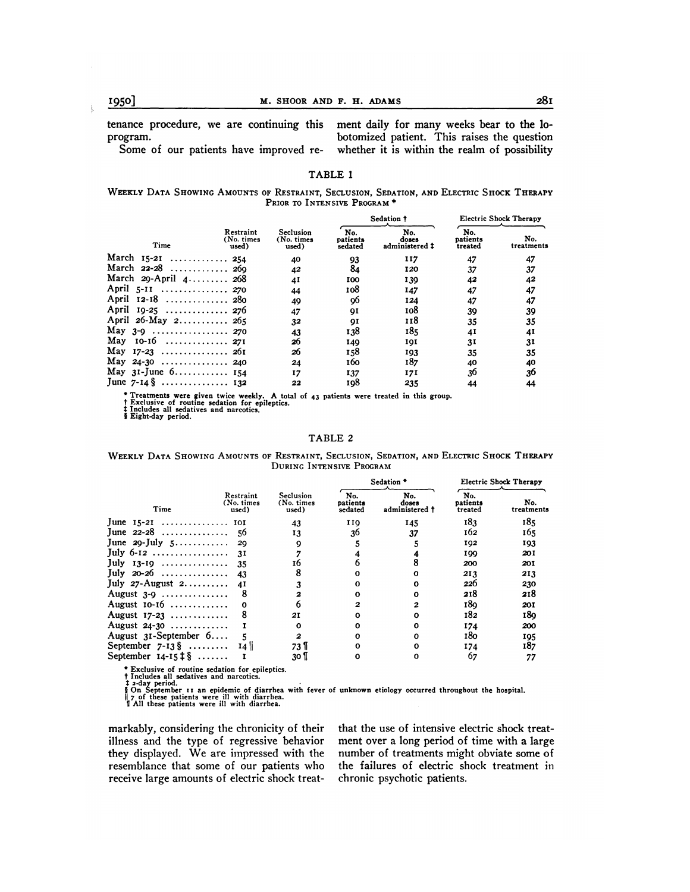tenance procedure, we are continuing this ment daily for many weeks bear to the loprogram. botomized patient. This raises the question

Some of our patients have improved re- whether it is within the realm of possibility

## TABLE 1

### **WEEKLY DATA SHOwING AMOUNTS OF RESTRAINT, SECLUSION, SEDATION, AND ELEcTRIc** SHOCK **THERAPY PRIOR TO** INTENSIVE PROGRAM \*

|                                                                                                                 |                                  | Seclusion<br>(No. times<br>used) | Sedation †                 |                                | <b>Electric Shock Therapy</b> |                   |
|-----------------------------------------------------------------------------------------------------------------|----------------------------------|----------------------------------|----------------------------|--------------------------------|-------------------------------|-------------------|
| Time                                                                                                            | Restraint<br>(No. times<br>used) |                                  | No.<br>patients<br>sedated | No.<br>doses<br>administered # | No.<br>patients<br>treated    | No.<br>treatments |
| March $15-21$ 254                                                                                               |                                  | 40                               | 93                         | 117                            | 47                            | 47                |
| March 22-28  269                                                                                                |                                  | 42                               | 84                         | 120                            | 37                            | 37                |
| March 29-April 4 268                                                                                            |                                  | 41                               | 100                        | 139                            | 42                            | 42                |
| April 5-11  270                                                                                                 |                                  | 44                               | 108                        | 147                            | 47                            | 47                |
| April 12-18  280                                                                                                |                                  | 49                               | 96                         | 124                            | 47                            | 47                |
| April 19-25  276                                                                                                |                                  |                                  | QI                         | 108                            |                               | 39                |
| April 26-May 2 265                                                                                              |                                  | 32                               | QI                         | 118                            | 35                            | 35                |
|                                                                                                                 |                                  | 43                               | 138                        | 185                            | 41                            | 41                |
| May $10-16$ 271                                                                                                 |                                  | 26                               | 149                        | 101                            | 31                            | 31                |
|                                                                                                                 |                                  | 26                               | 158                        | 193                            | 35                            | 35                |
| May 24-30  240                                                                                                  |                                  | 24                               | 160                        | 187                            | 40                            | 40                |
|                                                                                                                 |                                  | 17                               | 137                        | 171                            | 36                            | 36                |
| June $7 - 14 \frac{8}{3}$ 132                                                                                   |                                  | 22                               | 108                        | 235                            | 44                            | 44                |
| the contract of the contract of the contract of the contract of the contract of the contract of the contract of |                                  | 47                               |                            |                                | 39                            |                   |

\* Treatments were given twice weekly. A total of 43 patients were treated in this group.<br>† Exclusive of routine sedation for epileptics.<br>‡ Includes all sedatives and narcotics.<br>§ Eight-day period.

#### TABLE 2

**WEEKLY DATA SHOWING AMOUNTS** OF RESTRAINT, SECLUSION, SEDATION, **AND ELECTRIC SHOCK THERAPY** DURING INTENSIVE **PROGRAM**

|                               | Restraint<br>(No. times<br>used) | Seclusion<br>(No. times<br>used) | Sedation *                 |                                | <b>Electric Shock Therapy</b> |                   |
|-------------------------------|----------------------------------|----------------------------------|----------------------------|--------------------------------|-------------------------------|-------------------|
| Time                          |                                  |                                  | No.<br>patients<br>sedated | No.<br>doses<br>administered † | No.<br>patients<br>treated    | No.<br>treatments |
|                               |                                  | 43                               | 110                        | 145                            | 183                           | 185               |
| June $22 - 28$ 56             |                                  | 13                               | 36                         | 37                             | 162                           | 165               |
|                               |                                  |                                  |                            |                                | 192                           | 193               |
|                               |                                  |                                  |                            |                                | 100                           | 201               |
| July 13-19  35                |                                  | 16                               |                            |                                | 200                           | 201               |
| July 20-26  43                |                                  |                                  | ω                          |                                | 213                           | 213               |
|                               |                                  |                                  | ი                          |                                | 226                           | 230               |
| August $3-9$                  | -8                               |                                  |                            |                                | 218                           | 218               |
| August $10-16$                |                                  |                                  |                            | 2                              | 180                           | 201               |
| August $17-23$                |                                  | 21                               |                            |                                | 182                           | 180               |
| August $24-30$                |                                  |                                  |                            |                                | 174                           | 200               |
| August $3I-September\ 6$      |                                  | 2                                |                            |                                | 180                           | 195               |
| September $7-13\$ 14          |                                  | 73 II                            |                            |                                | 174                           | 187               |
| September $14-15 \ddagger \S$ |                                  | 30 I                             | ი                          |                                | 67                            | 77                |
|                               |                                  |                                  |                            |                                |                               |                   |

• Exclusive of routine sedation for epileptics.<br>† Includes all sedatives and narcotics.<br>‡ 2-day period.<br>‡ 2-day period.<br>† 2 of these patients were ill with diarrhea.<br>† All these patients were ill with diarrhea.

markably, considering the chronicity of their illness and the type of regressive behavior they displayed. We are impressed with the resemblance that some of our patients who receive large amounts of electric shock treatthat the use of intensive electric shock treatment over a long period of time with a large number of treatments might obviate some of the failures of electric shock treatment in chronic psychotic patients.